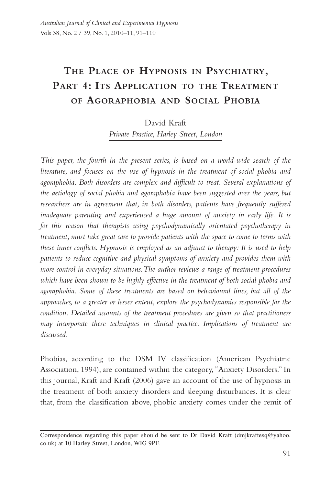# **The Place of Hypnosis in Psychiatry, Part 4: Its Application to the Treatment of Agoraphobia and Social Phobia**

## David Kraft

*Private Practice, Harley Street, London*

*This paper, the fourth in the present series, is based on a world-wide search of the literature, and focuses on the use of hypnosis in the treatment of social phobia and agoraphobia. Both disorders are complex and difficult to treat. Several explanations of the aetiology of social phobia and agoraphobia have been suggested over the years, but*  researchers are in agreement that, in both disorders, patients have frequently suffered *inadequate parenting and experienced a huge amount of anxiety in early life. It is for this reason that therapists using psychodynamically orientated psychotherapy in treatment, must take great care to provide patients with the space to come to terms with these inner conflicts. Hypnosis is employed as an adjunct to therapy: It is used to help patients to reduce cognitive and physical symptoms of anxiety and provides them with more control in everyday situations. The author reviews a range of treatment procedures which have been shown to be highly effective in the treatment of both social phobia and agoraphobia. Some of these treatments are based on behavioural lines, but all of the approaches, to a greater or lesser extent, explore the psychodynamics responsible for the condition. Detailed accounts of the treatment procedures are given so that practitioners may incorporate these techniques in clinical practice. Implications of treatment are discussed.*

Phobias, according to the DSM IV classification (American Psychiatric Association, 1994), are contained within the category, "Anxiety Disorders." In this journal, Kraft and Kraft (2006) gave an account of the use of hypnosis in the treatment of both anxiety disorders and sleeping disturbances. It is clear that, from the classification above, phobic anxiety comes under the remit of

Correspondence regarding this paper should be sent to Dr David Kraft (dmjkraftesq@yahoo. co.uk) at 10 Harley Street, London, WIG 9PF.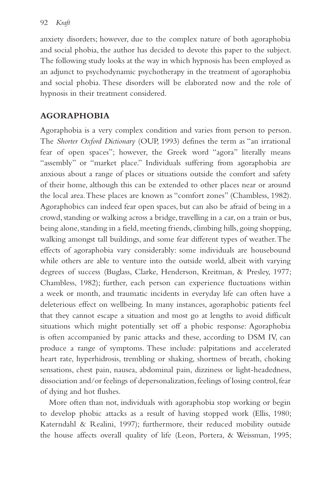anxiety disorders; however, due to the complex nature of both agoraphobia and social phobia, the author has decided to devote this paper to the subject. The following study looks at the way in which hypnosis has been employed as an adjunct to psychodynamic psychotherapy in the treatment of agoraphobia and social phobia. These disorders will be elaborated now and the role of hypnosis in their treatment considered.

# **AGORAPHOBIA**

Agoraphobia is a very complex condition and varies from person to person. The *Shorter Oxford Dictionary* (OUP, 1993) defines the term as "an irrational fear of open spaces"; however, the Greek word "agora" literally means "assembly" or "market place." Individuals suffering from agoraphobia are anxious about a range of places or situations outside the comfort and safety of their home, although this can be extended to other places near or around the local area. These places are known as "comfort zones" (Chambless, 1982). Agoraphobics can indeed fear open spaces, but can also be afraid of being in a crowd, standing or walking across a bridge, travelling in a car, on a train or bus, being alone, standing in a field, meeting friends, climbing hills, going shopping, walking amongst tall buildings, and some fear different types of weather. The effects of agoraphobia vary considerably: some individuals are housebound while others are able to venture into the outside world, albeit with varying degrees of success (Buglass, Clarke, Henderson, Kreitman, & Presley, 1977; Chambless, 1982); further, each person can experience fluctuations within a week or month, and traumatic incidents in everyday life can often have a deleterious effect on wellbeing. In many instances, agoraphobic patients feel that they cannot escape a situation and most go at lengths to avoid difficult situations which might potentially set off a phobic response: Agoraphobia is often accompanied by panic attacks and these, according to DSM IV, can produce a range of symptoms. These include: palpitations and accelerated heart rate, hyperhidrosis, trembling or shaking, shortness of breath, choking sensations, chest pain, nausea, abdominal pain, dizziness or light-headedness, dissociation and/or feelings of depersonalization, feelings of losing control, fear of dying and hot flushes.

More often than not, individuals with agoraphobia stop working or begin to develop phobic attacks as a result of having stopped work (Ellis, 1980; Katerndahl & Realini, 1997); furthermore, their reduced mobility outside the house affects overall quality of life (Leon, Portera, & Weissman, 1995;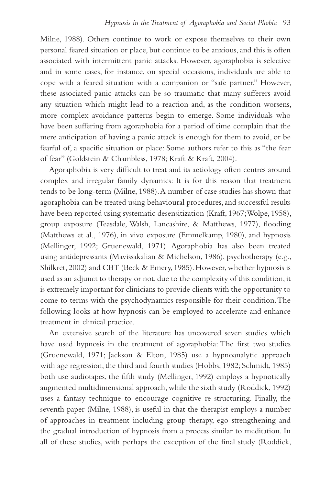Milne, 1988). Others continue to work or expose themselves to their own personal feared situation or place, but continue to be anxious, and this is often associated with intermittent panic attacks. However, agoraphobia is selective and in some cases, for instance, on special occasions, individuals are able to cope with a feared situation with a companion or "safe partner." However, these associated panic attacks can be so traumatic that many sufferers avoid any situation which might lead to a reaction and, as the condition worsens, more complex avoidance patterns begin to emerge. Some individuals who have been suffering from agoraphobia for a period of time complain that the mere anticipation of having a panic attack is enough for them to avoid, or be fearful of, a specific situation or place: Some authors refer to this as "the fear of fear" (Goldstein & Chambless, 1978; Kraft & Kraft, 2004).

Agoraphobia is very difficult to treat and its aetiology often centres around complex and irregular family dynamics: It is for this reason that treatment tends to be long-term (Milne, 1988). A number of case studies has shown that agoraphobia can be treated using behavioural procedures, and successful results have been reported using systematic desensitization (Kraft, 1967; Wolpe, 1958), group exposure (Teasdale, Walsh, Lancashire, & Matthews, 1977), flooding (Matthews et al., 1976), in vivo exposure (Emmelkamp, 1980), and hypnosis (Mellinger, 1992; Gruenewald, 1971). Agoraphobia has also been treated using antidepressants (Mavissakalian & Michelson, 1986), psychotherapy (e.g., Shilkret, 2002) and CBT (Beck & Emery, 1985). However, whether hypnosis is used as an adjunct to therapy or not, due to the complexity of this condition, it is extremely important for clinicians to provide clients with the opportunity to come to terms with the psychodynamics responsible for their condition. The following looks at how hypnosis can be employed to accelerate and enhance treatment in clinical practice.

An extensive search of the literature has uncovered seven studies which have used hypnosis in the treatment of agoraphobia: The first two studies (Gruenewald, 1971; Jackson & Elton, 1985) use a hypnoanalytic approach with age regression, the third and fourth studies (Hobbs, 1982; Schmidt, 1985) both use audiotapes, the fifth study (Mellinger, 1992) employs a hypnotically augmented multidimensional approach, while the sixth study (Roddick, 1992) uses a fantasy technique to encourage cognitive re-structuring. Finally, the seventh paper (Milne, 1988), is useful in that the therapist employs a number of approaches in treatment including group therapy, ego strengthening and the gradual introduction of hypnosis from a process similar to meditation. In all of these studies, with perhaps the exception of the final study (Roddick,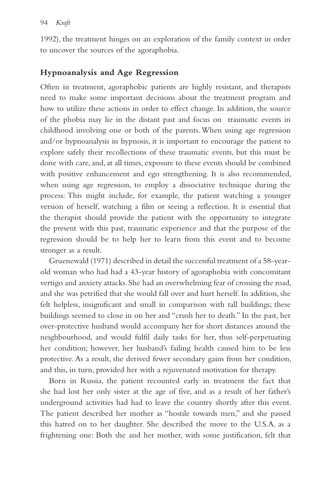1992), the treatment hinges on an exploration of the family context in order to uncover the sources of the agoraphobia.

## **Hypnoanalysis and Age Regression**

Often in treatment, agoraphobic patients are highly resistant, and therapists need to make some important decisions about the treatment program and how to utilize these actions in order to effect change. In addition, the source of the phobia may lie in the distant past and focus on traumatic events in childhood involving one or both of the parents. When using age regression and/or hypnoanalysis in hypnosis, it is important to encourage the patient to explore safely their recollections of these traumatic events, but this must be done with care, and, at all times, exposure to these events should be combined with positive enhancement and ego strengthening. It is also recommended, when using age regression, to employ a dissociative technique during the process: This might include, for example, the patient watching a younger version of herself, watching a film or seeing a reflection. It is essential that the therapist should provide the patient with the opportunity to integrate the present with this past, traumatic experience and that the purpose of the regression should be to help her to learn from this event and to become stronger as a result.

Gruenewald (1971) described in detail the successful treatment of a 58-yearold woman who had had a 43-year history of agoraphobia with concomitant vertigo and anxiety attacks. She had an overwhelming fear of crossing the road, and she was petrified that she would fall over and hurt herself. In addition, she felt helpless, insignificant and small in comparison with tall buildings; these buildings seemed to close in on her and "crush her to death." In the past, her over-protective husband would accompany her for short distances around the neighbourhood, and would fulfil daily tasks for her, thus self-perpetuating her condition; however, her husband's failing health caused him to be less protective. As a result, she derived fewer secondary gains from her condition, and this, in turn, provided her with a rejuvenated motivation for therapy.

Born in Russia, the patient recounted early in treatment the fact that she had lost her only sister at the age of five, and as a result of her father's underground activities had had to leave the country shortly after this event. The patient described her mother as "hostile towards men," and she passed this hatred on to her daughter. She described the move to the U.S.A. as a frightening one: Both she and her mother, with some justification, felt that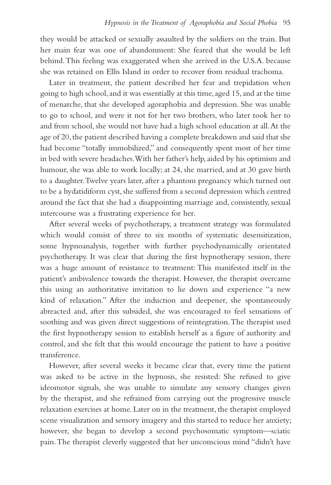they would be attacked or sexually assaulted by the soldiers on the train. But her main fear was one of abandonment: She feared that she would be left behind. This feeling was exaggerated when she arrived in the U.S.A. because she was retained on Ellis Island in order to recover from residual trachoma.

Later in treatment, the patient described her fear and trepidation when going to high school, and it was essentially at this time, aged 15, and at the time of menarche, that she developed agoraphobia and depression. She was unable to go to school, and were it not for her two brothers, who later took her to and from school, she would not have had a high school education at all. At the age of 20, the patient described having a complete breakdown and said that she had become "totally immobilized," and consequently spent most of her time in bed with severe headaches. With her father's help, aided by his optimism and humour, she was able to work locally; at 24, she married, and at 30 gave birth to a daughter. Twelve years later, after a phantom pregnancy which turned out to be a hydatidiform cyst, she suffered from a second depression which centred around the fact that she had a disappointing marriage and, consistently, sexual intercourse was a frustrating experience for her.

After several weeks of psychotherapy, a treatment strategy was formulated which would consist of three to six months of systematic desensitization, some hypnoanalysis, together with further psychodynamically orientated psychotherapy. It was clear that during the first hypnotherapy session, there was a huge amount of resistance to treatment: This manifested itself in the patient's ambivalence towards the therapist. However, the therapist overcame this using an authoritative invitation to lie down and experience "a new kind of relaxation." After the induction and deepener, she spontaneously abreacted and, after this subsided, she was encouraged to feel sensations of soothing and was given direct suggestions of reintegration. The therapist used the first hypnotherapy session to establish herself as a figure of authority and control, and she felt that this would encourage the patient to have a positive transference.

However, after several weeks it became clear that, every time the patient was asked to be active in the hypnosis, she resisted: She refused to give ideomotor signals, she was unable to simulate any sensory changes given by the therapist, and she refrained from carrying out the progressive muscle relaxation exercises at home. Later on in the treatment, the therapist employed scene visualization and sensory imagery and this started to reduce her anxiety; however, she began to develop a second psychosomatic symptom—sciatic pain. The therapist cleverly suggested that her unconscious mind "didn't have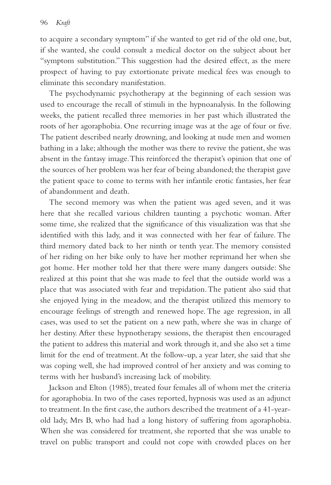to acquire a secondary symptom" if she wanted to get rid of the old one, but, if she wanted, she could consult a medical doctor on the subject about her "symptom substitution." This suggestion had the desired effect, as the mere prospect of having to pay extortionate private medical fees was enough to eliminate this secondary manifestation.

The psychodynamic psychotherapy at the beginning of each session was used to encourage the recall of stimuli in the hypnoanalysis. In the following weeks, the patient recalled three memories in her past which illustrated the roots of her agoraphobia. One recurring image was at the age of four or five. The patient described nearly drowning, and looking at nude men and women bathing in a lake; although the mother was there to revive the patient, she was absent in the fantasy image. This reinforced the therapist's opinion that one of the sources of her problem was her fear of being abandoned; the therapist gave the patient space to come to terms with her infantile erotic fantasies, her fear of abandonment and death.

The second memory was when the patient was aged seven, and it was here that she recalled various children taunting a psychotic woman. After some time, she realized that the significance of this visualization was that she identified with this lady, and it was connected with her fear of failure. The third memory dated back to her ninth or tenth year. The memory consisted of her riding on her bike only to have her mother reprimand her when she got home. Her mother told her that there were many dangers outside: She realized at this point that she was made to feel that the outside world was a place that was associated with fear and trepidation. The patient also said that she enjoyed lying in the meadow, and the therapist utilized this memory to encourage feelings of strength and renewed hope. The age regression, in all cases, was used to set the patient on a new path, where she was in charge of her destiny. After these hypnotherapy sessions, the therapist then encouraged the patient to address this material and work through it, and she also set a time limit for the end of treatment. At the follow-up, a year later, she said that she was coping well, she had improved control of her anxiety and was coming to terms with her husband's increasing lack of mobility.

Jackson and Elton (1985), treated four females all of whom met the criteria for agoraphobia. In two of the cases reported, hypnosis was used as an adjunct to treatment. In the first case, the authors described the treatment of a 41-yearold lady, Mrs B, who had had a long history of suffering from agoraphobia. When she was considered for treatment, she reported that she was unable to travel on public transport and could not cope with crowded places on her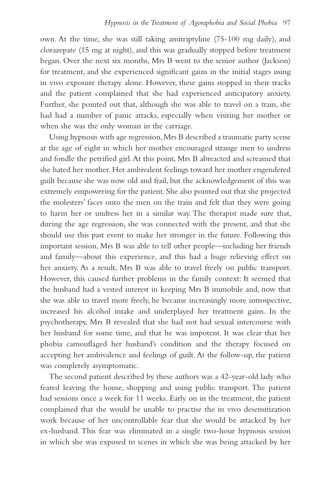own. At the time, she was still taking amitriptyline (75-100 mg daily), and clorazepate (15 mg at night), and this was gradually stopped before treatment began. Over the next six months, Mrs B went to the senior author (Jackson) for treatment, and she experienced significant gains in the initial stages using in vivo exposure therapy alone. However, these gains stopped in their tracks and the patient complained that she had experienced anticipatory anxiety. Further, she pointed out that, although she was able to travel on a train, she had had a number of panic attacks, especially when visiting her mother or when she was the only woman in the carriage.

Using hypnosis with age regression, Mrs B described a traumatic party scene at the age of eight in which her mother encouraged strange men to undress and fondle the petrified girl. At this point, Mrs B abreacted and screamed that she hated her mother. Her ambivalent feelings toward her mother engendered guilt because she was now old and frail, but the acknowledgement of this was extremely empowering for the patient. She also pointed out that she projected the molesters' faces onto the men on the train and felt that they were going to harm her or undress her in a similar way. The therapist made sure that, during the age regression, she was connected with the present, and that she should use this past event to make her stronger in the future. Following this important session, Mrs B was able to tell other people—including her friends and family—about this experience, and this had a huge relieving effect on her anxiety. As a result, Mrs B was able to travel freely on public transport. However, this caused further problems in the family context: It seemed that the husband had a vested interest in keeping Mrs B immobile and, now that she was able to travel more freely, he became increasingly more introspective, increased his alcohol intake and underplayed her treatment gains. In the psychotherapy, Mrs B revealed that she had not had sexual intercourse with her husband for some time, and that he was impotent. It was clear that her phobia camouflaged her husband's condition and the therapy focused on accepting her ambivalence and feelings of guilt. At the follow-up, the patient was completely asymptomatic.

The second patient described by these authors was a 42-year-old lady who feared leaving the house, shopping and using public transport. The patient had sessions once a week for 11 weeks. Early on in the treatment, the patient complained that she would be unable to practise the in vivo desensitization work because of her uncontrollable fear that she would be attacked by her ex-husband. This fear was eliminated in a single two-hour hypnosis session in which she was exposed to scenes in which she was being attacked by her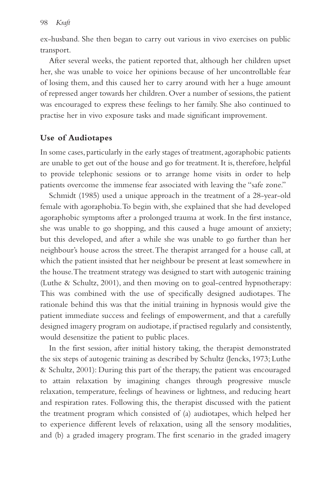ex-husband. She then began to carry out various in vivo exercises on public transport.

After several weeks, the patient reported that, although her children upset her, she was unable to voice her opinions because of her uncontrollable fear of losing them, and this caused her to carry around with her a huge amount of repressed anger towards her children. Over a number of sessions, the patient was encouraged to express these feelings to her family. She also continued to practise her in vivo exposure tasks and made significant improvement.

## **Use of Audiotapes**

In some cases, particularly in the early stages of treatment, agoraphobic patients are unable to get out of the house and go for treatment. It is, therefore, helpful to provide telephonic sessions or to arrange home visits in order to help patients overcome the immense fear associated with leaving the "safe zone."

Schmidt (1985) used a unique approach in the treatment of a 28-year-old female with agoraphobia. To begin with, she explained that she had developed agoraphobic symptoms after a prolonged trauma at work. In the first instance, she was unable to go shopping, and this caused a huge amount of anxiety; but this developed, and after a while she was unable to go further than her neighbour's house across the street. The therapist arranged for a house call, at which the patient insisted that her neighbour be present at least somewhere in the house. The treatment strategy was designed to start with autogenic training (Luthe & Schultz, 2001), and then moving on to goal-centred hypnotherapy: This was combined with the use of specifically designed audiotapes. The rationale behind this was that the initial training in hypnosis would give the patient immediate success and feelings of empowerment, and that a carefully designed imagery program on audiotape, if practised regularly and consistently, would desensitize the patient to public places.

In the first session, after initial history taking, the therapist demonstrated the six steps of autogenic training as described by Schultz (Jencks, 1973; Luthe & Schultz, 2001): During this part of the therapy, the patient was encouraged to attain relaxation by imagining changes through progressive muscle relaxation, temperature, feelings of heaviness or lightness, and reducing heart and respiration rates. Following this, the therapist discussed with the patient the treatment program which consisted of (a) audiotapes, which helped her to experience different levels of relaxation, using all the sensory modalities, and (b) a graded imagery program. The first scenario in the graded imagery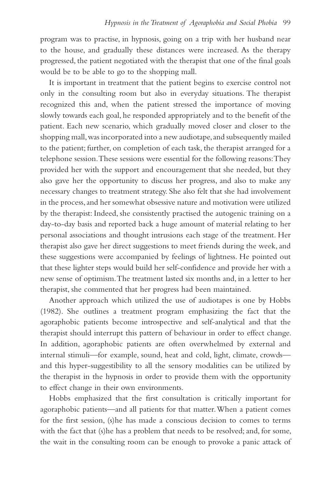program was to practise, in hypnosis, going on a trip with her husband near to the house, and gradually these distances were increased. As the therapy progressed, the patient negotiated with the therapist that one of the final goals would be to be able to go to the shopping mall.

It is important in treatment that the patient begins to exercise control not only in the consulting room but also in everyday situations. The therapist recognized this and, when the patient stressed the importance of moving slowly towards each goal, he responded appropriately and to the benefit of the patient. Each new scenario, which gradually moved closer and closer to the shopping mall, was incorporated into a new audiotape, and subsequently mailed to the patient; further, on completion of each task, the therapist arranged for a telephone session. These sessions were essential for the following reasons: They provided her with the support and encouragement that she needed, but they also gave her the opportunity to discuss her progress, and also to make any necessary changes to treatment strategy. She also felt that she had involvement in the process, and her somewhat obsessive nature and motivation were utilized by the therapist: Indeed, she consistently practised the autogenic training on a day-to-day basis and reported back a huge amount of material relating to her personal associations and thought intrusions each stage of the treatment. Her therapist also gave her direct suggestions to meet friends during the week, and these suggestions were accompanied by feelings of lightness. He pointed out that these lighter steps would build her self-confidence and provide her with a new sense of optimism. The treatment lasted six months and, in a letter to her therapist, she commented that her progress had been maintained.

Another approach which utilized the use of audiotapes is one by Hobbs (1982). She outlines a treatment program emphasizing the fact that the agoraphobic patients become introspective and self-analytical and that the therapist should interrupt this pattern of behaviour in order to effect change. In addition, agoraphobic patients are often overwhelmed by external and internal stimuli—for example, sound, heat and cold, light, climate, crowds and this hyper-suggestibility to all the sensory modalities can be utilized by the therapist in the hypnosis in order to provide them with the opportunity to effect change in their own environments.

Hobbs emphasized that the first consultation is critically important for agoraphobic patients—and all patients for that matter. When a patient comes for the first session, (s)he has made a conscious decision to comes to terms with the fact that (s)he has a problem that needs to be resolved; and, for some, the wait in the consulting room can be enough to provoke a panic attack of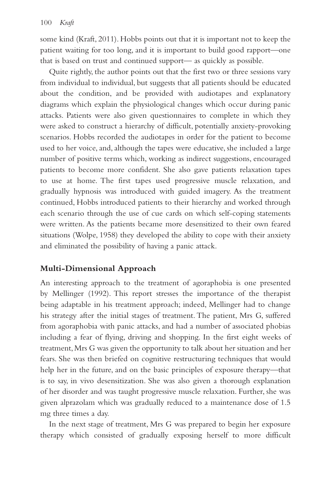some kind (Kraft, 2011). Hobbs points out that it is important not to keep the patient waiting for too long, and it is important to build good rapport—one that is based on trust and continued support— as quickly as possible.

Quite rightly, the author points out that the first two or three sessions vary from individual to individual, but suggests that all patients should be educated about the condition, and be provided with audiotapes and explanatory diagrams which explain the physiological changes which occur during panic attacks. Patients were also given questionnaires to complete in which they were asked to construct a hierarchy of difficult, potentially anxiety-provoking scenarios. Hobbs recorded the audiotapes in order for the patient to become used to her voice, and, although the tapes were educative, she included a large number of positive terms which, working as indirect suggestions, encouraged patients to become more confident. She also gave patients relaxation tapes to use at home. The first tapes used progressive muscle relaxation, and gradually hypnosis was introduced with guided imagery. As the treatment continued, Hobbs introduced patients to their hierarchy and worked through each scenario through the use of cue cards on which self-coping statements were written. As the patients became more desensitized to their own feared situations (Wolpe, 1958) they developed the ability to cope with their anxiety and eliminated the possibility of having a panic attack.

## **Multi-Dimensional Approach**

An interesting approach to the treatment of agoraphobia is one presented by Mellinger (1992). This report stresses the importance of the therapist being adaptable in his treatment approach; indeed, Mellinger had to change his strategy after the initial stages of treatment. The patient, Mrs G, suffered from agoraphobia with panic attacks, and had a number of associated phobias including a fear of flying, driving and shopping. In the first eight weeks of treatment, Mrs G was given the opportunity to talk about her situation and her fears. She was then briefed on cognitive restructuring techniques that would help her in the future, and on the basic principles of exposure therapy—that is to say, in vivo desensitization. She was also given a thorough explanation of her disorder and was taught progressive muscle relaxation. Further, she was given alprazolam which was gradually reduced to a maintenance dose of 1.5 mg three times a day.

In the next stage of treatment, Mrs G was prepared to begin her exposure therapy which consisted of gradually exposing herself to more difficult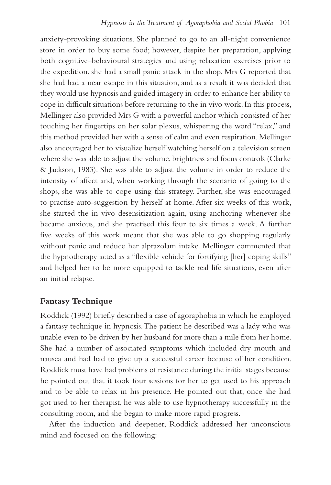anxiety-provoking situations. She planned to go to an all-night convenience store in order to buy some food; however, despite her preparation, applying both cognitive–behavioural strategies and using relaxation exercises prior to the expedition, she had a small panic attack in the shop. Mrs G reported that she had had a near escape in this situation, and as a result it was decided that they would use hypnosis and guided imagery in order to enhance her ability to cope in difficult situations before returning to the in vivo work. In this process, Mellinger also provided Mrs G with a powerful anchor which consisted of her touching her fingertips on her solar plexus, whispering the word "relax," and this method provided her with a sense of calm and even respiration. Mellinger also encouraged her to visualize herself watching herself on a television screen where she was able to adjust the volume, brightness and focus controls (Clarke & Jackson, 1983). She was able to adjust the volume in order to reduce the intensity of affect and, when working through the scenario of going to the shops, she was able to cope using this strategy. Further, she was encouraged to practise auto-suggestion by herself at home. After six weeks of this work, she started the in vivo desensitization again, using anchoring whenever she became anxious, and she practised this four to six times a week. A further five weeks of this work meant that she was able to go shopping regularly without panic and reduce her alprazolam intake. Mellinger commented that the hypnotherapy acted as a "flexible vehicle for fortifying [her] coping skills" and helped her to be more equipped to tackle real life situations, even after an initial relapse.

### **Fantasy Technique**

Roddick (1992) briefly described a case of agoraphobia in which he employed a fantasy technique in hypnosis. The patient he described was a lady who was unable even to be driven by her husband for more than a mile from her home. She had a number of associated symptoms which included dry mouth and nausea and had had to give up a successful career because of her condition. Roddick must have had problems of resistance during the initial stages because he pointed out that it took four sessions for her to get used to his approach and to be able to relax in his presence. He pointed out that, once she had got used to her therapist, he was able to use hypnotherapy successfully in the consulting room, and she began to make more rapid progress.

After the induction and deepener, Roddick addressed her unconscious mind and focused on the following: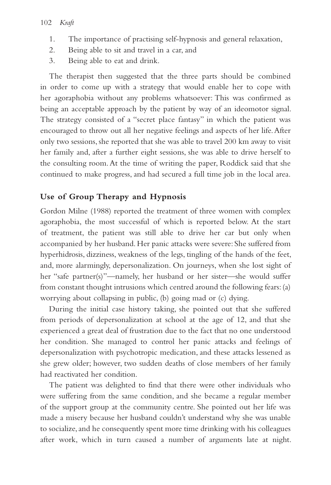- 1. The importance of practising self-hypnosis and general relaxation,
- 2. Being able to sit and travel in a car, and
- 3. Being able to eat and drink.

The therapist then suggested that the three parts should be combined in order to come up with a strategy that would enable her to cope with her agoraphobia without any problems whatsoever: This was confirmed as being an acceptable approach by the patient by way of an ideomotor signal. The strategy consisted of a "secret place fantasy" in which the patient was encouraged to throw out all her negative feelings and aspects of her life. After only two sessions, she reported that she was able to travel 200 km away to visit her family and, after a further eight sessions, she was able to drive herself to the consulting room. At the time of writing the paper, Roddick said that she continued to make progress, and had secured a full time job in the local area.

## **Use of Group Therapy and Hypnosis**

Gordon Milne (1988) reported the treatment of three women with complex agoraphobia, the most successful of which is reported below. At the start of treatment, the patient was still able to drive her car but only when accompanied by her husband. Her panic attacks were severe: She suffered from hyperhidrosis, dizziness, weakness of the legs, tingling of the hands of the feet, and, more alarmingly, depersonalization. On journeys, when she lost sight of her "safe partner(s)"—namely, her husband or her sister—she would suffer from constant thought intrusions which centred around the following fears: (a) worrying about collapsing in public, (b) going mad or (c) dying.

During the initial case history taking, she pointed out that she suffered from periods of depersonalization at school at the age of 12, and that she experienced a great deal of frustration due to the fact that no one understood her condition. She managed to control her panic attacks and feelings of depersonalization with psychotropic medication, and these attacks lessened as she grew older; however, two sudden deaths of close members of her family had reactivated her condition.

The patient was delighted to find that there were other individuals who were suffering from the same condition, and she became a regular member of the support group at the community centre. She pointed out her life was made a misery because her husband couldn't understand why she was unable to socialize, and he consequently spent more time drinking with his colleagues after work, which in turn caused a number of arguments late at night.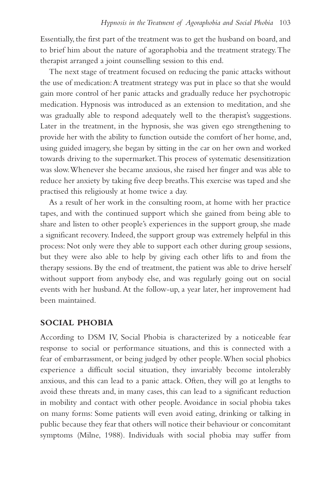Essentially, the first part of the treatment was to get the husband on board, and to brief him about the nature of agoraphobia and the treatment strategy. The therapist arranged a joint counselling session to this end.

The next stage of treatment focused on reducing the panic attacks without the use of medication: A treatment strategy was put in place so that she would gain more control of her panic attacks and gradually reduce her psychotropic medication. Hypnosis was introduced as an extension to meditation, and she was gradually able to respond adequately well to the therapist's suggestions. Later in the treatment, in the hypnosis, she was given ego strengthening to provide her with the ability to function outside the comfort of her home, and, using guided imagery, she began by sitting in the car on her own and worked towards driving to the supermarket. This process of systematic desensitization was slow. Whenever she became anxious, she raised her finger and was able to reduce her anxiety by taking five deep breaths. This exercise was taped and she practised this religiously at home twice a day.

As a result of her work in the consulting room, at home with her practice tapes, and with the continued support which she gained from being able to share and listen to other people's experiences in the support group, she made a significant recovery. Indeed, the support group was extremely helpful in this process: Not only were they able to support each other during group sessions, but they were also able to help by giving each other lifts to and from the therapy sessions. By the end of treatment, the patient was able to drive herself without support from anybody else, and was regularly going out on social events with her husband. At the follow-up, a year later, her improvement had been maintained.

### **SOCIAL PHOBIA**

According to DSM IV, Social Phobia is characterized by a noticeable fear response to social or performance situations, and this is connected with a fear of embarrassment, or being judged by other people. When social phobics experience a difficult social situation, they invariably become intolerably anxious, and this can lead to a panic attack. Often, they will go at lengths to avoid these threats and, in many cases, this can lead to a significant reduction in mobility and contact with other people. Avoidance in social phobia takes on many forms: Some patients will even avoid eating, drinking or talking in public because they fear that others will notice their behaviour or concomitant symptoms (Milne, 1988). Individuals with social phobia may suffer from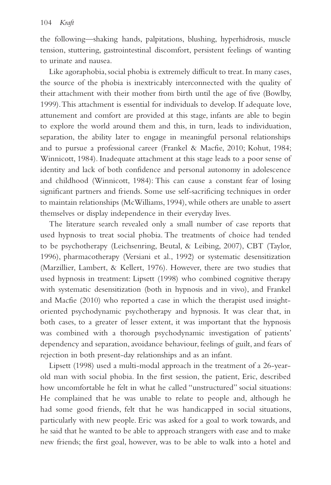the following—shaking hands, palpitations, blushing, hyperhidrosis, muscle tension, stuttering, gastrointestinal discomfort, persistent feelings of wanting to urinate and nausea.

Like agoraphobia, social phobia is extremely difficult to treat. In many cases, the source of the phobia is inextricably interconnected with the quality of their attachment with their mother from birth until the age of five (Bowlby, 1999). This attachment is essential for individuals to develop. If adequate love, attunement and comfort are provided at this stage, infants are able to begin to explore the world around them and this, in turn, leads to individuation, separation, the ability later to engage in meaningful personal relationships and to pursue a professional career (Frankel & Macfie, 2010; Kohut, 1984; Winnicott, 1984). Inadequate attachment at this stage leads to a poor sense of identity and lack of both confidence and personal autonomy in adolescence and childhood (Winnicott, 1984): This can cause a constant fear of losing significant partners and friends. Some use self-sacrificing techniques in order to maintain relationships (McWilliams, 1994), while others are unable to assert themselves or display independence in their everyday lives.

The literature search revealed only a small number of case reports that used hypnosis to treat social phobia. The treatments of choice had tended to be psychotherapy (Leichsenring, Beutal, & Leibing, 2007), CBT (Taylor, 1996), pharmacotherapy (Versiani et al., 1992) or systematic desensitization (Marzillier, Lambert, & Kellert, 1976). However, there are two studies that used hypnosis in treatment: Lipsett (1998) who combined cognitive therapy with systematic desensitization (both in hypnosis and in vivo), and Frankel and Macfie (2010) who reported a case in which the therapist used insightoriented psychodynamic psychotherapy and hypnosis. It was clear that, in both cases, to a greater of lesser extent, it was important that the hypnosis was combined with a thorough psychodynamic investigation of patients' dependency and separation, avoidance behaviour, feelings of guilt, and fears of rejection in both present-day relationships and as an infant.

Lipsett (1998) used a multi-modal approach in the treatment of a 26-yearold man with social phobia. In the first session, the patient, Eric, described how uncomfortable he felt in what he called "unstructured" social situations: He complained that he was unable to relate to people and, although he had some good friends, felt that he was handicapped in social situations, particularly with new people. Eric was asked for a goal to work towards, and he said that he wanted to be able to approach strangers with ease and to make new friends; the first goal, however, was to be able to walk into a hotel and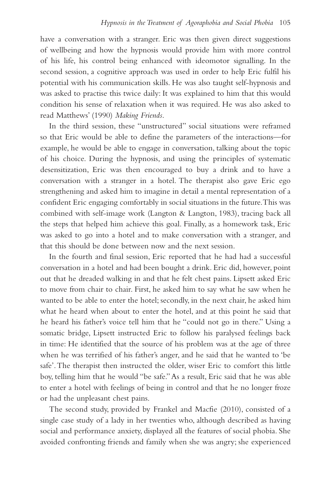have a conversation with a stranger. Eric was then given direct suggestions of wellbeing and how the hypnosis would provide him with more control of his life, his control being enhanced with ideomotor signalling. In the second session, a cognitive approach was used in order to help Eric fulfil his potential with his communication skills. He was also taught self-hypnosis and was asked to practise this twice daily: It was explained to him that this would condition his sense of relaxation when it was required. He was also asked to read Matthews' (1990) *Making Friends*.

In the third session, these "unstructured" social situations were reframed so that Eric would be able to define the parameters of the interactions—for example, he would be able to engage in conversation, talking about the topic of his choice. During the hypnosis, and using the principles of systematic desensitization, Eric was then encouraged to buy a drink and to have a conversation with a stranger in a hotel. The therapist also gave Eric ego strengthening and asked him to imagine in detail a mental representation of a confident Eric engaging comfortably in social situations in the future. This was combined with self-image work (Langton & Langton, 1983), tracing back all the steps that helped him achieve this goal. Finally, as a homework task, Eric was asked to go into a hotel and to make conversation with a stranger, and that this should be done between now and the next session.

In the fourth and final session, Eric reported that he had had a successful conversation in a hotel and had been bought a drink. Eric did, however, point out that he dreaded walking in and that he felt chest pains. Lipsett asked Eric to move from chair to chair. First, he asked him to say what he saw when he wanted to be able to enter the hotel; secondly, in the next chair, he asked him what he heard when about to enter the hotel, and at this point he said that he heard his father's voice tell him that he "could not go in there." Using a somatic bridge, Lipsett instructed Eric to follow his paralysed feelings back in time: He identified that the source of his problem was at the age of three when he was terrified of his father's anger, and he said that he wanted to 'be safe'. The therapist then instructed the older, wiser Eric to comfort this little boy, telling him that he would "be safe." As a result, Eric said that he was able to enter a hotel with feelings of being in control and that he no longer froze or had the unpleasant chest pains.

The second study, provided by Frankel and Macfie (2010), consisted of a single case study of a lady in her twenties who, although described as having social and performance anxiety, displayed all the features of social phobia. She avoided confronting friends and family when she was angry; she experienced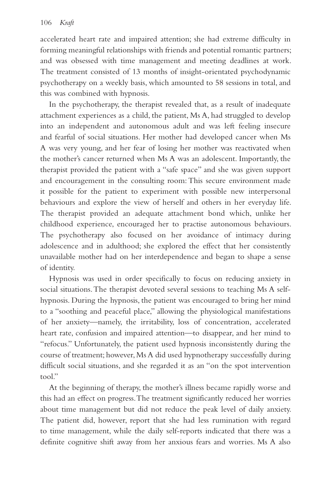accelerated heart rate and impaired attention; she had extreme difficulty in forming meaningful relationships with friends and potential romantic partners; and was obsessed with time management and meeting deadlines at work. The treatment consisted of 13 months of insight-orientated psychodynamic psychotherapy on a weekly basis, which amounted to 58 sessions in total, and this was combined with hypnosis.

In the psychotherapy, the therapist revealed that, as a result of inadequate attachment experiences as a child, the patient, Ms A, had struggled to develop into an independent and autonomous adult and was left feeling insecure and fearful of social situations. Her mother had developed cancer when Ms A was very young, and her fear of losing her mother was reactivated when the mother's cancer returned when Ms A was an adolescent. Importantly, the therapist provided the patient with a "safe space" and she was given support and encouragement in the consulting room: This secure environment made it possible for the patient to experiment with possible new interpersonal behaviours and explore the view of herself and others in her everyday life. The therapist provided an adequate attachment bond which, unlike her childhood experience, encouraged her to practise autonomous behaviours. The psychotherapy also focused on her avoidance of intimacy during adolescence and in adulthood; she explored the effect that her consistently unavailable mother had on her interdependence and began to shape a sense of identity.

Hypnosis was used in order specifically to focus on reducing anxiety in social situations. The therapist devoted several sessions to teaching Ms A selfhypnosis. During the hypnosis, the patient was encouraged to bring her mind to a "soothing and peaceful place," allowing the physiological manifestations of her anxiety—namely, the irritability, loss of concentration, accelerated heart rate, confusion and impaired attention—to disappear, and her mind to "refocus." Unfortunately, the patient used hypnosis inconsistently during the course of treatment; however, Ms A did used hypnotherapy successfully during difficult social situations, and she regarded it as an "on the spot intervention tool"

At the beginning of therapy, the mother's illness became rapidly worse and this had an effect on progress. The treatment significantly reduced her worries about time management but did not reduce the peak level of daily anxiety. The patient did, however, report that she had less rumination with regard to time management, while the daily self-reports indicated that there was a definite cognitive shift away from her anxious fears and worries. Ms A also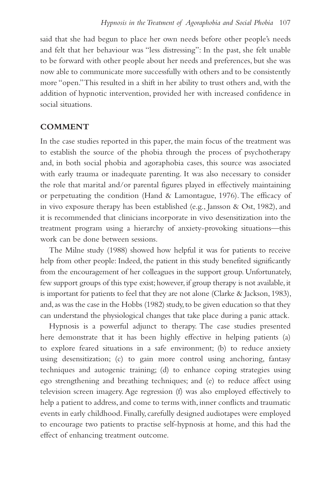said that she had begun to place her own needs before other people's needs and felt that her behaviour was "less distressing": In the past, she felt unable to be forward with other people about her needs and preferences, but she was now able to communicate more successfully with others and to be consistently more "open." This resulted in a shift in her ability to trust others and, with the addition of hypnotic intervention, provided her with increased confidence in social situations.

## **COMMENT**

In the case studies reported in this paper, the main focus of the treatment was to establish the source of the phobia through the process of psychotherapy and, in both social phobia and agoraphobia cases, this source was associated with early trauma or inadequate parenting. It was also necessary to consider the role that marital and/or parental figures played in effectively maintaining or perpetuating the condition (Hand & Lamontague, 1976). The efficacy of in vivo exposure therapy has been established (e.g., Jansson & Ost, 1982), and it is recommended that clinicians incorporate in vivo desensitization into the treatment program using a hierarchy of anxiety-provoking situations—this work can be done between sessions.

The Milne study (1988) showed how helpful it was for patients to receive help from other people: Indeed, the patient in this study benefited significantly from the encouragement of her colleagues in the support group. Unfortunately, few support groups of this type exist; however, if group therapy is not available, it is important for patients to feel that they are not alone (Clarke & Jackson, 1983), and, as was the case in the Hobbs (1982) study, to be given education so that they can understand the physiological changes that take place during a panic attack.

Hypnosis is a powerful adjunct to therapy. The case studies presented here demonstrate that it has been highly effective in helping patients (a) to explore feared situations in a safe environment; (b) to reduce anxiety using desensitization; (c) to gain more control using anchoring, fantasy techniques and autogenic training; (d) to enhance coping strategies using ego strengthening and breathing techniques; and (e) to reduce affect using television screen imagery. Age regression (f) was also employed effectively to help a patient to address, and come to terms with, inner conflicts and traumatic events in early childhood. Finally, carefully designed audiotapes were employed to encourage two patients to practise self-hypnosis at home, and this had the effect of enhancing treatment outcome.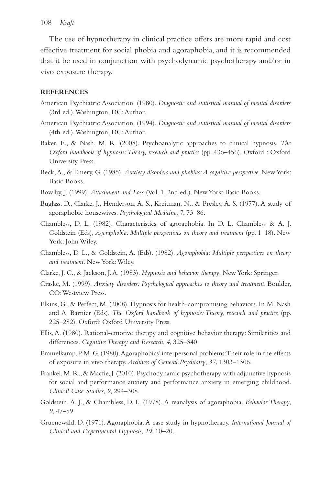#### 108 *Kraft*

The use of hypnotherapy in clinical practice offers are more rapid and cost effective treatment for social phobia and agoraphobia, and it is recommended that it be used in conjunction with psychodynamic psychotherapy and/or in vivo exposure therapy.

#### **REFERENCES**

- American Psychiatric Association. (1980). *Diagnostic and statistical manual of mental disorders* (3rd ed.). Washington, DC: Author.
- American Psychiatric Association. (1994). *Diagnostic and statistical manual of mental disorders* (4th ed.). Washington, DC: Author.
- Baker, E., & Nash, M. R. (2008). Psychoanalytic approaches to clinical hypnosis. *The Oxford handbook of hypnosis: Theory, research and practice* (pp. 436–456). Oxford : Oxford University Press.
- Beck, A., & Emery, G. (1985). *Anxiety disorders and phobias: A cognitive perspective*. New York: Basic Books.
- Bowlby, J. (1999). *Attachment and Loss* (Vol. 1, 2nd ed.). New York: Basic Books.
- Buglass, D., Clarke, J., Henderson, A. S., Kreitman, N., & Presley, A. S. (1977). A study of agoraphobic housewives. *Psychological Medicine*, *7*, 73–86.
- Chambless, D. L. (1982). Characteristics of agoraphobia. In D. L. Chambless & A. J. Goldstein (Eds), *Agoraphobia: Multiple perspectives on theory and treatment* (pp. 1–18). New York: John Wiley.
- Chambless, D. L., & Goldstein, A. (Eds). (1982). *Agoraphobia: Multiple perspectives on theory and treatment*. New York: Wiley.
- Clarke, J. C., & Jackson, J. A. (1983). *Hypnosis and behavior therapy*. New York: Springer.
- Craske, M. (1999). *Anxiety disorders: Psychological approaches to theory and treatment*. Boulder, CO: Westview Press.
- Elkins, G., & Perfect, M. (2008). Hypnosis for health-compromising behaviors. In M. Nash and A. Barnier (Eds), *The Oxford handbook of hypnosis: Theory, research and practice* (pp. 225–282). Oxford: Oxford University Press.
- Ellis, A. (1980). Rational-emotive therapy and cognitive behavior therapy: Similarities and differences. *Cognitive Therapy and Research*, *4*, 325–340.
- Emmelkamp, P. M. G. (1980). Agoraphobics' interpersonal problems: Their role in the effects of exposure in vivo therapy. *Archives of General Psychiatry*, *37*, 1303–1306.
- Frankel, M. R., & Macfie, J. (2010). Psychodynamic psychotherapy with adjunctive hypnosis for social and performance anxiety and performance anxiety in emerging childhood. *Clinical Case Studies*, *9*, 294–308.
- Goldstein, A. J., & Chambless, D. L. (1978). A reanalysis of agoraphobia. *Behavior Therapy*, *9*, 47–59.
- Gruenewald, D. (1971). Agoraphobia: A case study in hypnotherapy. *International Journal of Clinical and Experimental Hypnosis*, *19*, 10–20.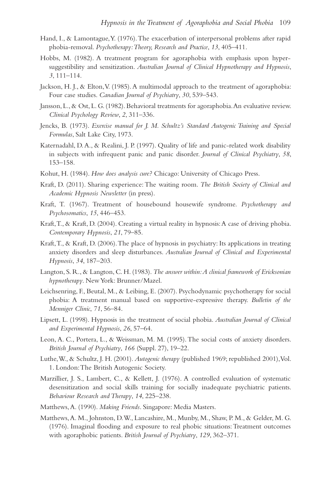- Hand, I., & Lamontague, Y. (1976). The exacerbation of interpersonal problems after rapid phobia-removal. *Psychotherapy: Theory, Research and Practice*, *13*, 405–411.
- Hobbs, M. (1982). A treatment program for agoraphobia with emphasis upon hypersuggestibility and sensitization. *Australian Journal of Clinical Hypnotherapy and Hypnosis*, *3*, 111–114.
- Jackson, H. J., & Elton, V. (1985). A multimodal approach to the treatment of agoraphobia: Four case studies. *Canadian Journal of Psychiatry*, *30*, 539–543.
- Jansson, L., & Ost, L. G. (1982). Behavioral treatments for agoraphobia. An evaluative review. *Clinical Psychology Review*, *2*, 311–336.
- Jencks, B. (1973). *Exercise manual for J. M. Schultz's Standard Autogenic Training and Special Formulas*, Salt Lake City, 1973.
- Katernadahl, D. A., & Realini, J. P. (1997). Quality of life and panic-related work disability in subjects with infrequent panic and panic disorder. *Journal of Clinical Psychiatry*, *58*, 153–158.
- Kohut, H. (1984). *How does analysis cure?* Chicago: University of Chicago Press.
- Kraft, D. (2011). Sharing experience: The waiting room. *The British Society of Clinical and Academic Hypnosis Newsletter* (in press).
- Kraft, T. (1967). Treatment of housebound housewife syndrome. *Psychotherapy and Psychosomatics*, *15*, 446–453.
- Kraft, T., & Kraft, D. (2004). Creating a virtual reality in hypnosis: A case of driving phobia. *Contemporary Hypnosis*, *21*, 79–85.
- Kraft, T., & Kraft, D. (2006). The place of hypnosis in psychiatry: Its applications in treating anxiety disorders and sleep disturbances. *Australian Journal of Clinical and Experimental Hypnosis*, *34*, 187–203.
- Langton, S. R., & Langton, C. H. (1983). *The answer within: A clinical framework of Ericksonian hypnotherapy*. New York: Brunner/Mazel.
- Leichsenring, F., Beutal, M., & Leibing, E. (2007). Psychodynamic psychotherapy for social phobia: A treatment manual based on supportive-expressive therapy. *Bulletin of the Menniger Clinic*, *71*, 56–84.
- Lipsett, L. (1998). Hypnosis in the treatment of social phobia. *Australian Journal of Clinical and Experimental Hypnosis*, *26*, 57–64.
- Leon, A. C., Portera, L., & Weissman, M. M. (1995). The social costs of anxiety disorders. *British Journal of Psychiatry*, *166* (Suppl. 27), 19–22.
- Luthe, W., & Schultz, J. H. (2001). *Autogenic therapy* (published 1969; republished 2001), Vol. 1. London: The British Autogenic Society.
- Marzillier, J. S., Lambert, C., & Kellett, J. (1976). A controlled evaluation of systematic desensitization and social skills training for socially inadequate psychiatric patients. *Behaviour Research and Therapy*, *14*, 225–238.
- Matthews, A. (1990). *Making Friends*. Singapore: Media Masters.
- Matthews, A. M., Johnston, D. W., Lancashire, M., Munby, M., Shaw, P. M., & Gelder, M. G. (1976). Imaginal flooding and exposure to real phobic situations: Treatment outcomes with agoraphobic patients. *British Journal of Psychiatry*, *129*, 362–371.